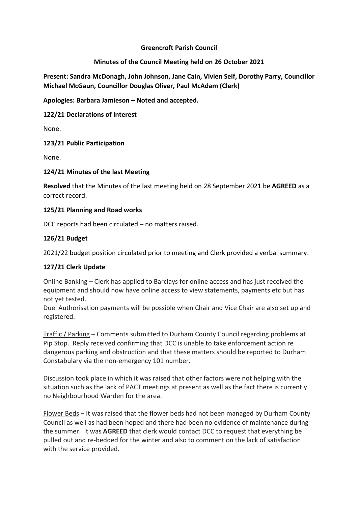## **Greencroft Parish Council**

# **Minutes of the Council Meeting held on 26 October 2021**

**Present: Sandra McDonagh, John Johnson, Jane Cain, Vivien Self, Dorothy Parry, Councillor Michael McGaun, Councillor Douglas Oliver, Paul McAdam (Clerk)**

**Apologies: Barbara Jamieson – Noted and accepted.** 

**122/21 Declarations of Interest**

None.

## **123/21 Public Participation**

None.

## **124/21 Minutes of the last Meeting**

**Resolved** that the Minutes of the last meeting held on 28 September 2021 be **AGREED** as a correct record.

## **125/21 Planning and Road works**

DCC reports had been circulated – no matters raised.

# **126/21 Budget**

2021/22 budget position circulated prior to meeting and Clerk provided a verbal summary.

# **127/21 Clerk Update**

Online Banking – Clerk has applied to Barclays for online access and has just received the equipment and should now have online access to view statements, payments etc but has not yet tested.

Duel Authorisation payments will be possible when Chair and Vice Chair are also set up and registered.

Traffic / Parking – Comments submitted to Durham County Council regarding problems at Pip Stop. Reply received confirming that DCC is unable to take enforcement action re dangerous parking and obstruction and that these matters should be reported to Durham Constabulary via the non-emergency 101 number.

Discussion took place in which it was raised that other factors were not helping with the situation such as the lack of PACT meetings at present as well as the fact there is currently no Neighbourhood Warden for the area.

Flower Beds – It was raised that the flower beds had not been managed by Durham County Council as well as had been hoped and there had been no evidence of maintenance during the summer. It was **AGREED** that clerk would contact DCC to request that everything be pulled out and re-bedded for the winter and also to comment on the lack of satisfaction with the service provided.